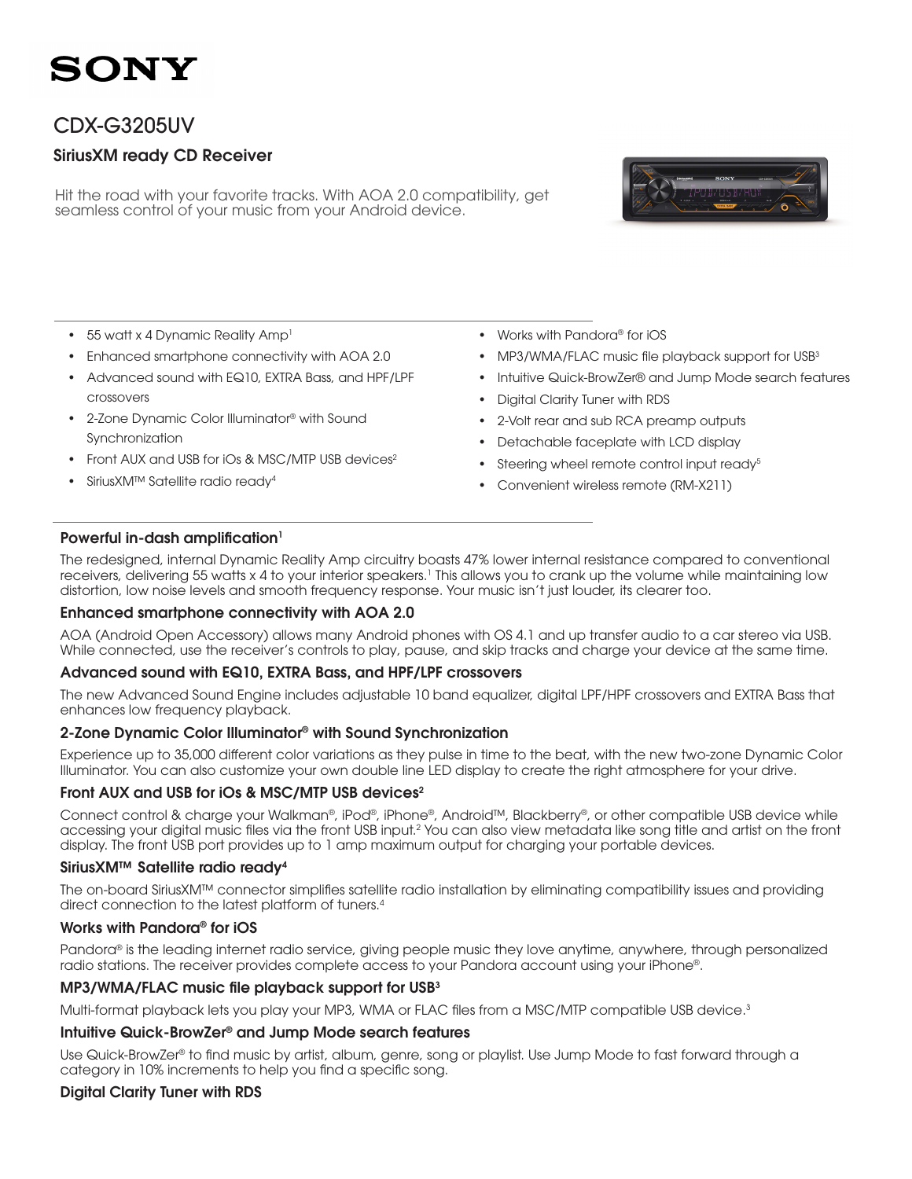### SONY

### CDX-G3205UV

### SiriusXM ready CD Receiver

Hit the road with your favorite tracks. With AOA 2.0 compatibility, get seamless control of your music from your Android device.



- 55 watt x 4 Dynamic Reality Amp<sup>1</sup>
- Enhanced smartphone connectivity with AOA 2.0
- Advanced sound with EQ10, EXTRA Bass, and HPF/LPF crossovers
- 2-Zone Dynamic Color Illuminator® with Sound Synchronization
- Front AUX and USB for iOs & MSC/MTP USB devices<sup>2</sup>
- SiriusXM™ Satellite radio ready<sup>4</sup>
- Works with Pandora® for iOS
- MP3/WMA/FLAC music file playback support for USB<sup>3</sup>
- Intuitive Quick-BrowZer® and Jump Mode search features
- Digital Clarity Tuner with RDS
- 2-Volt rear and sub RCA preamp outputs
- • Detachable faceplate with LCD display
- Steering wheel remote control input ready<sup>5</sup>
- Convenient wireless remote (RM-X211)

#### Powerful in-dash amplification<sup>1</sup>

The redesigned, internal Dynamic Reality Amp circuitry boasts 47% lower internal resistance compared to conventional receivers, delivering 55 watts x 4 to your interior speakers.<sup>1</sup> This allows you to crank up the volume while maintaining low distortion, low noise levels and smooth frequency response. Your music isn't just louder, its clearer too.

#### Enhanced smartphone connectivity with AOA 2.0

AOA (Android Open Accessory) allows many Android phones with OS 4.1 and up transfer audio to a car stereo via USB. While connected, use the receiver's controls to play, pause, and skip tracks and charge your device at the same time.

#### Advanced sound with EQ10, EXTRA Bass, and HPF/LPF crossovers

The new Advanced Sound Engine includes adjustable 10 band equalizer, digital LPF/HPF crossovers and EXTRA Bass that enhances low frequency playback.

#### 2-Zone Dynamic Color Illuminator® with Sound Synchronization

Experience up to 35,000 different color variations as they pulse in time to the beat, with the new two-zone Dynamic Color Illuminator. You can also customize your own double line LED display to create the right atmosphere for your drive.

#### Front AUX and USB for iOs & MSC/MTP USB devices<sup>2</sup>

Connect control & charge your Walkman®, iPod®, iPhone®, Android™, Blackberry®, or other compatible USB device while accessing your digital music files via the front USB input.2 You can also view metadata like song title and artist on the front display. The front USB port provides up to 1 amp maximum output for charging your portable devices.

#### SiriusXM™ Satellite radio ready4

The on-board SiriusXM™ connector simplifies satellite radio installation by eliminating compatibility issues and providing direct connection to the latest platform of tuners.4

#### Works with Pandora® for iOS

Pandora® is the leading internet radio service, giving people music they love anytime, anywhere, through personalized radio stations. The receiver provides complete access to your Pandora account using your iPhone®.

#### MP3/WMA/FLAC music file playback support for USB<sup>3</sup>

Multi-format playback lets you play your MP3, WMA or FLAC files from a MSC/MTP compatible USB device.<sup>3</sup>

#### Intuitive Quick-BrowZer® and Jump Mode search features

Use Quick-BrowZer® to find music by artist, album, genre, song or playlist. Use Jump Mode to fast forward through a category in 10% increments to help you find a specific song.

#### Digital Clarity Tuner with RDS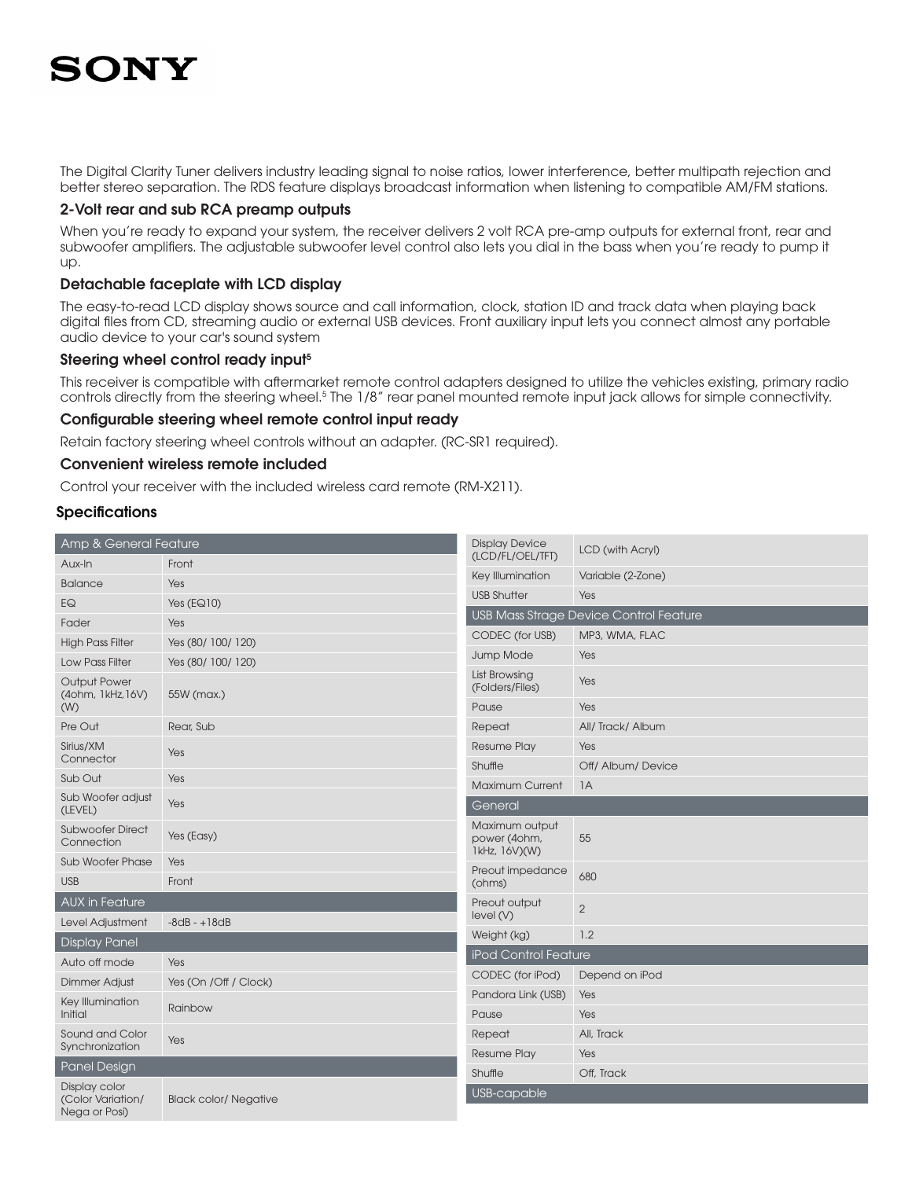# SONY

The Digital Clarity Tuner delivers industry leading signal to noise ratios, lower interference, better multipath rejection and better stereo separation. The RDS feature displays broadcast information when listening to compatible AM/FM stations.

#### 2-Volt rear and sub RCA preamp outputs

When you're ready to expand your system, the receiver delivers 2 volt RCA pre-amp outputs for external front, rear and subwoofer amplifiers. The adjustable subwoofer level control also lets you dial in the bass when you're ready to pump it up.

#### Detachable faceplate with LCD display

The easy-to-read LCD display shows source and call information, clock, station ID and track data when playing back digital files from CD, streaming audio or external USB devices. Front auxiliary input lets you connect almost any portable audio device to your car's sound system

#### Steering wheel control ready input<sup>5</sup>

This receiver is compatible with aftermarket remote control adapters designed to utilize the vehicles existing, primary radio controls directly from the steering wheel.<sup>5</sup> The 1/8" rear panel mounted remote input jack allows for simple connectivity.

#### Configurable steering wheel remote control input ready

Retain factory steering wheel controls without an adapter. (RC-SR1 required).

#### Convenient wireless remote included

Control your receiver with the included wireless card remote (RM-X211).

#### **Specifications**

| Amp & General Feature                               |                              | <b>Display Device</b>                           | LCD (with Acryl)                              |
|-----------------------------------------------------|------------------------------|-------------------------------------------------|-----------------------------------------------|
| Aux-In                                              | Front                        | (LCD/FL/OEL/TFT)                                |                                               |
| <b>Balance</b>                                      | Yes                          | Key Illumination                                | Variable (2-Zone)                             |
| EQ                                                  | Yes $(EQ10)$                 | <b>USB Shutter</b>                              | Yes                                           |
| Fader                                               | Yes                          |                                                 | <b>USB Mass Strage Device Control Feature</b> |
| <b>High Pass Filter</b>                             | Yes (80/ 100/ 120)           | CODEC (for USB)                                 | MP3, WMA, FLAC                                |
| <b>Low Pass Filter</b>                              | Yes (80/ 100/ 120)           | Jump Mode                                       | Yes                                           |
| <b>Output Power</b><br>(4ohm, 1kHz, 16V)            | 55W (max.)                   | List Browsing<br>(Folders/Files)                | Yes                                           |
| (W)                                                 |                              | Pause                                           | Yes                                           |
| Pre Out                                             | Rear, Sub                    | Repeat                                          | All/Track/Album                               |
| Sirius/XM                                           | Yes                          | <b>Resume Play</b>                              | Yes                                           |
| Connector                                           |                              | Shuffle                                         | Off/ Album/ Device                            |
| Sub Out                                             | Yes                          | <b>Maximum Current</b>                          | 1A                                            |
| Sub Woofer adjust<br>(LEVEL)                        | Yes                          | General                                         |                                               |
| <b>Subwoofer Direct</b><br>Connection               | Yes (Easy)                   | Maximum output<br>power (4ohm,<br>1kHz, 16V)(W) | 55                                            |
| <b>Sub Woofer Phase</b>                             | Yes                          | Preout impedance                                |                                               |
| <b>USB</b>                                          | Front                        | (ohms)                                          | 680                                           |
| <b>AUX in Feature</b>                               |                              | Preout output<br>level(V)                       | 2                                             |
| Level Adjustment                                    | $-8dB - +18dB$               | Weight (kg)                                     | 1.2                                           |
| <b>Display Panel</b>                                |                              | <b>iPod Control Feature</b>                     |                                               |
| Auto off mode                                       | Yes                          |                                                 |                                               |
| <b>Dimmer Adjust</b>                                | Yes (On /Off / Clock)        | CODEC (for iPod)                                | Depend on iPod                                |
| Key Illumination<br>Initial                         | Rainbow                      | Pandora Link (USB)<br>Pause                     | Yes<br>Yes                                    |
| Sound and Color                                     |                              | Repeat                                          | All, Track                                    |
| Synchronization                                     | Yes                          | <b>Resume Play</b>                              | Yes                                           |
| Panel Design                                        |                              | Shuffle                                         | Off, Track                                    |
| Display color<br>(Color Variation/<br>Nega or Posi) | <b>Black color/ Negative</b> | USB-capable                                     |                                               |